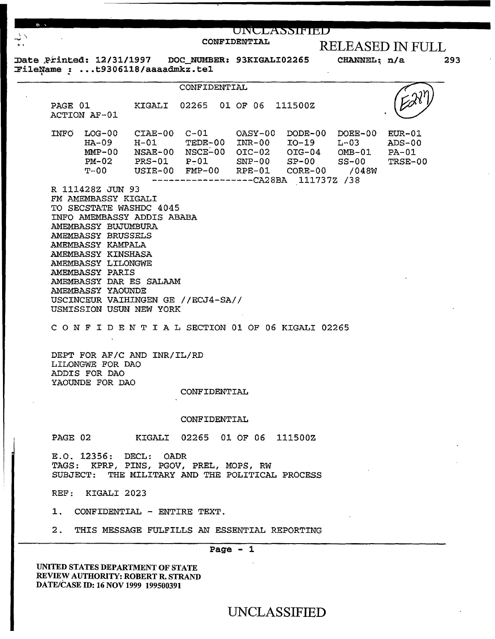| $\mathbb{R}^n$ |         |                                                                                                                                                                           |                                                                                                             |                                                                                           |              | UNULASSIFIED |                                                                                                                                                                                                                                                                              |                                          |     |
|----------------|---------|---------------------------------------------------------------------------------------------------------------------------------------------------------------------------|-------------------------------------------------------------------------------------------------------------|-------------------------------------------------------------------------------------------|--------------|--------------|------------------------------------------------------------------------------------------------------------------------------------------------------------------------------------------------------------------------------------------------------------------------------|------------------------------------------|-----|
| ユー<br>40.3     |         |                                                                                                                                                                           |                                                                                                             |                                                                                           | CONFIDENTIAL |              |                                                                                                                                                                                                                                                                              | <b>RELEASED IN FULL</b>                  |     |
|                |         |                                                                                                                                                                           |                                                                                                             | Date Printed: 12/31/1997 DOC_NUMBER: 93KIGALI02265                                        |              |              |                                                                                                                                                                                                                                                                              | CHANNEL: n/a                             | 293 |
|                |         |                                                                                                                                                                           | FileName: t9306118/aaaadmkz.tel                                                                             |                                                                                           |              |              |                                                                                                                                                                                                                                                                              |                                          |     |
|                |         |                                                                                                                                                                           |                                                                                                             | <b>CONFIDENTIAL</b>                                                                       |              |              |                                                                                                                                                                                                                                                                              |                                          |     |
|                |         | ACTION AF-01                                                                                                                                                              |                                                                                                             | PAGE 01 KIGALI 02265 01 OF 06 111500Z                                                     |              |              |                                                                                                                                                                                                                                                                              |                                          |     |
|                |         |                                                                                                                                                                           |                                                                                                             |                                                                                           |              |              | $INFO$ $LOG-00$ $CIAE-00$ $C-01$ $OASY-00$ $DODE-00$ $DOEE-00$<br>HA-09 H-01 TEDE-00 INR-00 IO-19 L-03<br>$MMP-00$ NSAE-00 NSCE-00 OIC-02 OIG-04 OMB-01<br>$PM-02$ PRS-01 P-01 SNP-00 SP-00 SS-00<br>T-00 USIE-00 FMP-00 RPE-01 CORE-00 /048W<br>---------CA28BA 111737Z /38 | $EUR-01$<br>$ADS-00$<br>PA-01<br>TRSE-00 |     |
|                |         | FM AMEMBASSY KIGALI<br>AMEMBASSY BUJUMBURA<br>AMEMBASSY BRUSSELS<br>AMEMBASSY KAMPALA<br>AMEMBASSY KINSHASA<br>AMEMBASSY LILONGWE<br>AMEMBASSY PARIS<br>AMEMBASSY YAOUNDE | TO SECSTATE WASHDC 4045<br>INFO AMEMBASSY ADDIS ABABA<br>AMEMBASSY DAR ES SALAAM<br>USMISSION USUN NEW YORK | USCINCEUR VAIHINGEN GE //ECJ4-SA//<br>CONFIDENTIAL SECTION 01 OF 06 KIGALI 02265          |              |              |                                                                                                                                                                                                                                                                              |                                          |     |
|                |         | LILONGWE FOR DAO<br>ADDIS FOR DAO<br>YAOUNDE FOR DAO                                                                                                                      | DEPT FOR AF/C AND INR/IL/RD                                                                                 | CONFIDENTIAL                                                                              |              |              |                                                                                                                                                                                                                                                                              |                                          |     |
|                |         |                                                                                                                                                                           |                                                                                                             |                                                                                           |              |              |                                                                                                                                                                                                                                                                              |                                          |     |
|                |         |                                                                                                                                                                           |                                                                                                             | CONFIDENTIAL                                                                              |              |              |                                                                                                                                                                                                                                                                              |                                          |     |
|                | PAGE 02 |                                                                                                                                                                           |                                                                                                             | KIGALI 02265 01 OF 06 111500Z                                                             |              |              |                                                                                                                                                                                                                                                                              |                                          |     |
|                |         |                                                                                                                                                                           | E.O. 12356: DECL: OADR                                                                                      | TAGS: KPRP, PINS, PGOV, PREL, MOPS, RW<br>SUBJECT: THE MILITARY AND THE POLITICAL PROCESS |              |              |                                                                                                                                                                                                                                                                              |                                          |     |
|                |         | REF: KIGALI 2023                                                                                                                                                          |                                                                                                             |                                                                                           |              |              |                                                                                                                                                                                                                                                                              |                                          |     |
|                |         |                                                                                                                                                                           | 1. CONFIDENTIAL - ENTIRE TEXT.                                                                              |                                                                                           |              |              |                                                                                                                                                                                                                                                                              |                                          |     |
|                |         |                                                                                                                                                                           |                                                                                                             | 2. THIS MESSAGE FULFILLS AN ESSENTIAL REPORTING                                           |              |              |                                                                                                                                                                                                                                                                              |                                          |     |
|                |         |                                                                                                                                                                           |                                                                                                             |                                                                                           | Page $-1$    |              |                                                                                                                                                                                                                                                                              |                                          |     |
|                |         |                                                                                                                                                                           |                                                                                                             |                                                                                           |              |              |                                                                                                                                                                                                                                                                              |                                          |     |

UNITED STATES DEPARTMENT OF STATE REVIEW AUTHORITY: ROBERT R. STRAND DATE/CASE ID: 16 NOV 1999 199500391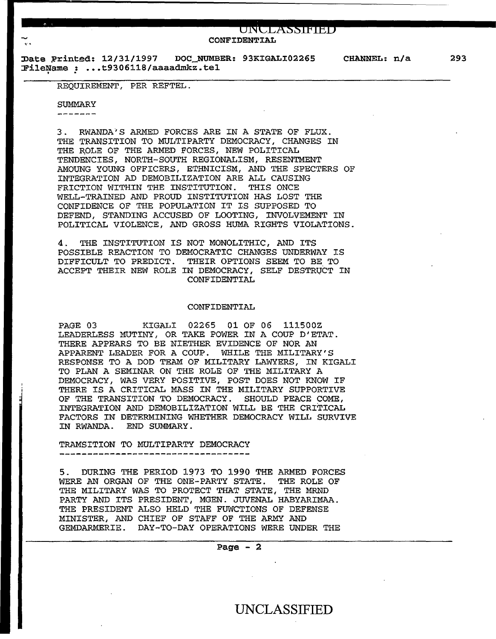$U\text{N}\text{CLASSIF}}$ CONFIDENTIAL

Date Printed: 12/31/1997 DOC\_NUMBER: 93KIGALI02265  $r$ ileName:  $\ldots$ t9306118/aaaadmkz.tel

REQUIREMENT, PER REFTEL.

#### SUMMARY

--------

3 . RWANDA'S ARMED FORCES ARE IN A STATE OF FLUX. THE TRANSITION TO MULTIPARTY DEMOCRACY, CHANGES IN THE ROLE OF THE ARMED FORCES, NEW POLITICAL TENDENCIES, NORTH-SOUTH REGIONALISM, RESENTMENT AMOUNG YOUNG OFFICERS, ETHNICISM, AND THE SPECTERS OF INTEGRATION AD DEMOBILIZATION ARE ALL CAUSING FRICTION WITHIN THE INSTITUTION. THIS ONCE WELL-TRAINED AND PROUD INSTITUTION HAS LOST THE CONFIDENCE OF THE POPULATION IT IS SUPPOSED TO DEFEND, STANDING ACCUSED OF LOOTING, INVOLVEMENT IN POLITICAL VIOLENCE, AND GROSS HUMA RIGHTS VIOLATIONS.

4. THE INSTITUTION IS NOT MONOLITHIC, AND ITS POSSIBLE REACTION TO DEMOCRATIC CHANGES UNDERWAY IS DIFFICULT TO PREDICT. THEIR OPTIONS SEEM TO BE TO ACCEPT THEIR NEW ROLE IN DEMOCRACY, SELF DESTRVCT IN CONFIDENTIAL

#### CONFIDENTIAL

PAGE 03 KIGALI 02265 Ol OF 06 111500Z LEADERLESS MUTINY, OR TAKE POWER IN A COUP D'ETAT. THERE APPEARS TO BE NIETHER EVIDENCE OF NOR AN APPARENT LEADER FOR A COUP. WHILE THE MILITARY'S RESPONSE TO A DOD TEAM OF MILITARY LAWYERS, IN KIGALI TO PLAN A SEMINAR ON THE ROLE OF THE MILITARY A DEMOCRACY, WAS VERY POSITIVE, POST DOES NOT KNOW IF THERE IS A CRITICAL MASS IN THE MILITARY SUPPORTIVE OF THE TRANSITION TO DEMOCRACY. SHOULD PEACE COME, OF THE TRANSITION TO DEMOCRACY. INTEGRATION AND DEMOBILIZATION WILL BE THE CRITICAL FACTORS IN DETERMINING WHETHER DEMOCRACY WILL SURVIVE IN RWANDA. END SUMMARY.

### TRAMSITION TO MULTIPARTY DEMOCRACY

5. DURING THE PERIOD 1973 TO 1990 THE ARMED FORCES WERE AN ORGAN OF THE ONE-PARTY STATE. THE ROLE OF THE MILITARY WAS TO PROTECT THAT STATE, THE MRND PARTY AND ITS PRESIDENT, MGEN. JUVENAL HABYARIMAA. THE PRESIDENT ALSO HELD THE FUWCTIONS OF DEFENSE MINISTER, AND CHIEF OF STAFF OF THE ARMY AND GEMDARMERIE. DAY-TO-DAY OPERATIONS WERE UNDER THE

Page  $-2$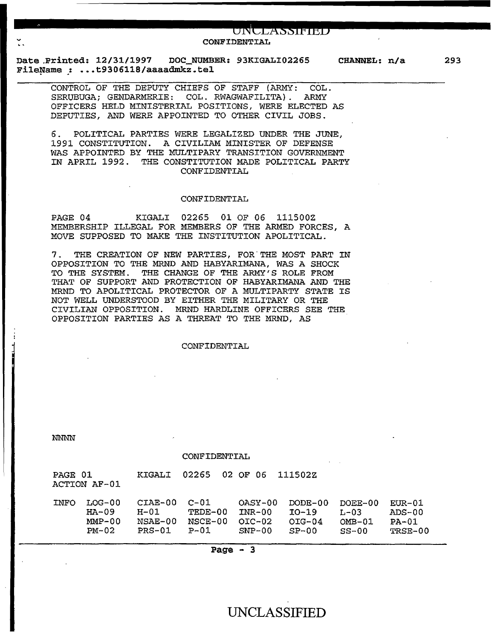# **..............................** -.o~I'~~c~z~x"s•s~±f~±~t•n~ **.................... .. CONFIDENTIAL**

**Date .Printed: 12/31/1997 DOC\_NUMBER: 93KIGALI02265 CHANNEL: n/a File;qame** .: .•• **t9306118/aaaadmkz. tel** 

**293** 

CONTROL OF THE DEPUTY CHIEFS OF STAFF (ARMY: COL. SERUBUGA; GENDARMERIE: COL. RWAGWAFILITA) . ARMY OFFICERS HELD MINISTERIAL POSITIONS, WERE ELECTED AS DEPUTIES, AND WERE APPOINTED TO OTHER CIVIL JOBS.

6. POLITICAL PARTIES WERE LEGALIZED UNDER THE JUNE, 1991 CONSTITUTION. A CIVILIAM MINISTER OF DEFENSE WAS APPOINTED BY THE MULTIPARY TRANSITION GOVERNMENT IN APRIL 1992. THE CONSTITUTION MADE POLITICAL PARTY CONFIDENTIAL

#### CONFIDENTIAL

PAGE 04 KIGALI 02265 01 OF 06 111500Z MEMBERSHIP ILLEGAL FOR MEMBERS OF THE ARMED FORCES, A MOVE SUPPOSED TO MAKE THE INSTITUTION APOLITICAL.

7. THE CREATION OF NEW PARTIES, FOR THE MOST PART IN OPPOSITION TO THE MRND AND HABYARIMANA, WAS A SHOCK TO THE SYSTEM. THE CHANGE OF THE ARMY'S ROLE FROM THAT OF SUPPORT AND PROTECTION OF HABYARIMANA AND THE MRND TO APOLITICAL PROTECTOR OF A MULTIPARTY STATE IS NOT WELL UNDERSTOOD BY EITHER THE MILITARY OR THE CIVILIAN OPPOSITION. MRND HARDLINE OFFICERS SEE THE OPPOSITION PARTIES AS A THREAT TO THE MRND, AS

#### CONFIDENTIAL

**NNNN** 

j

#### CONFIDENTIAL

| PAGE 01<br>ACTION AF-01 |          | KIGALI    | 02265<br>02 OF | - 06.    | 1115027   |           |           |
|-------------------------|----------|-----------|----------------|----------|-----------|-----------|-----------|
| INFO                    | LOG-00   | $CTAE-00$ | $C - 01$       | OASY-00  | DODE-00   | DOEE-00   | $E$ UR-01 |
|                         | $HA-09$  | H-01      | TEDE-00        | $INR-00$ | $10 - 19$ | $T - 0.3$ | $ADS-00$  |
|                         | $MMP-00$ | $NSAE-00$ | $NGCE-00$      | OIC-02   | $OIG-04$  | $OMB-01$  | $PA-01$   |
|                         | $PM-02$  | $PRS-01$  | $P-01$         | $SNP-00$ | $SP-00$   | $SS-00$   | TRSE-00   |

**Page** - **3**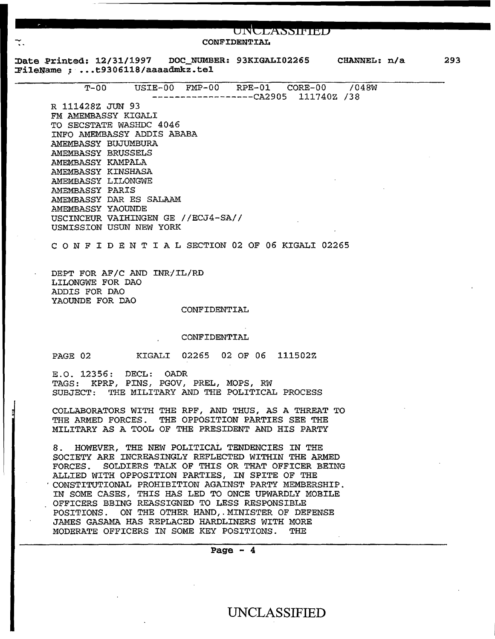|                                                                 |                                                         |              | UNULASSIFIED<br>CONFIDENTIAL |  |     |
|-----------------------------------------------------------------|---------------------------------------------------------|--------------|------------------------------|--|-----|
| Date Printed: 12/31/1997 DOC_NUMBER: 93KIGALI02265 CHANNEL: n/a |                                                         |              |                              |  | 293 |
| FileName : t9306118/aaaadmkz.tel                                |                                                         |              |                              |  |     |
|                                                                 | T-00    USIE-00    FMP-00    RPE-01    CORE-00    /048W |              | ---------CA2905 111740Z /38  |  |     |
| R 111428Z JUN 93                                                |                                                         |              |                              |  |     |
| FM AMEMBASSY KIGALI                                             |                                                         |              |                              |  |     |
| TO SECSTATE WASHDC 4046                                         |                                                         |              |                              |  |     |
| INFO AMEMBASSY ADDIS ABABA                                      |                                                         |              |                              |  |     |
| AMEMBASSY BUJUMBURA                                             |                                                         |              |                              |  |     |
| AMEMBASSY BRUSSELS                                              |                                                         |              |                              |  |     |
| AMEMBASSY KAMPALA                                               |                                                         |              |                              |  |     |
| AMEMBASSY KINSHASA                                              |                                                         |              |                              |  |     |
| AMEMBASSY LILONGWE                                              |                                                         |              |                              |  |     |
| AMEMBASSY PARIS                                                 |                                                         |              |                              |  |     |
| AMEMBASSY DAR ES SALAAM                                         |                                                         |              |                              |  |     |
| AMEMBASSY YAOUNDE                                               |                                                         |              |                              |  |     |
| USCINCEUR VAIHINGEN GE //ECJ4-SA//                              |                                                         |              |                              |  |     |
| USMISSION USUN NEW YORK                                         |                                                         |              |                              |  |     |
| CONFIDENTIAL SECTION 02 OF 06 KIGALI 02265                      |                                                         |              |                              |  |     |
|                                                                 |                                                         |              |                              |  |     |
| DEPT FOR AF/C AND INR/IL/RD                                     |                                                         |              |                              |  |     |
| LILONGWE FOR DAO                                                |                                                         |              |                              |  |     |
| ADDIS FOR DAO                                                   |                                                         |              |                              |  |     |
| YAOUNDE FOR DAO                                                 |                                                         |              |                              |  |     |
|                                                                 |                                                         | CONFIDENTIAL |                              |  |     |
|                                                                 |                                                         | CONFIDENTIAL |                              |  |     |
|                                                                 |                                                         |              |                              |  |     |
| PAGE 02                                                         | KIGALI 02265 02 OF 06 111502Z                           |              |                              |  |     |
| E.O. 12356: DECL: OADR                                          |                                                         |              |                              |  |     |
| TAGS: KPRP, PINS, PGOV, PREL, MOPS, RW                          |                                                         |              |                              |  |     |
| SUBJECT: THE MILITARY AND THE POLITICAL PROCESS                 |                                                         |              |                              |  |     |
|                                                                 |                                                         |              |                              |  |     |
| COLLABORATORS WITH THE RPF, AND THUS, AS A THREAT TO            |                                                         |              |                              |  |     |
| THE ARMED FORCES. THE OPPOSITION PARTIES SEE THE                |                                                         |              |                              |  |     |
| MILITARY AS A TOOL OF THE PRESIDENT AND HIS PARTY               |                                                         |              |                              |  |     |
| 8. HOWEVER, THE NEW POLITICAL TENDENCIES IN THE                 |                                                         |              |                              |  |     |
| SOCIETY ARE INCREASINGLY REFLECTED WITHIN THE ARMED             |                                                         |              |                              |  |     |
| FORCES. SOLDIERS TALK OF THIS OR THAT OFFICER BEING             |                                                         |              |                              |  |     |
| ALLIED WITH OPPOSITION PARTIES, IN SPITE OF THE                 |                                                         |              |                              |  |     |
| CONSTITUTIONAL PROHIBITION AGAINST PARTY MEMBERSHIP.            |                                                         |              |                              |  |     |
| IN SOME CASES, THIS HAS LED TO ONCE UPWARDLY MOBILE             |                                                         |              |                              |  |     |
| OFFICERS BBING REASSIGNED TO LESS RESPONSIBLE                   |                                                         |              |                              |  |     |
| POSITIONS. ON THE OTHER HAND, MINISTER OF DEFENSE               |                                                         |              |                              |  |     |
|                                                                 | JAMES GASAMA HAS REPLACED HARDLINERS WITH MORE          |              |                              |  |     |
|                                                                 |                                                         |              |                              |  |     |
| MODERATE OFFICERS IN SOME KEY POSITIONS. THE                    |                                                         |              |                              |  |     |
|                                                                 |                                                         |              | Page $-4$                    |  |     |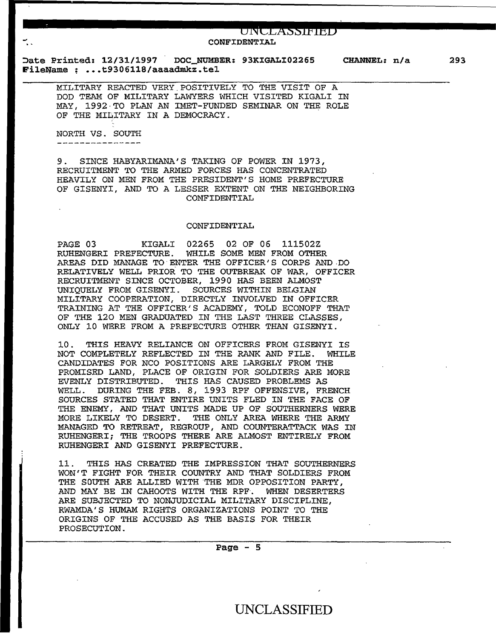#### **ONCLX§§fPIEB.**  CONFIDENTIAL

Date Printed: 12/31/1997 FileName : ...t9306118/aaaadmkz.tel DOC NUMBER: 93KIGALI02265 CHANNEL: n/a 293

MILITARY REACTED VERY.POSITIVELY TO THE VISIT OF A DOD TEAM OF MILITARY LAWYERS WHICH VISITED KIGALI IN MAY, 1992·TO PLAN AN IMET-FUNDED SEMINAR ON THE ROLE OF THE MILITARY IN A DEMOCRACY.

NORTH VS. SOUTH ---------------

9. SINCE HABYARIMANA'S TAKING OF POWER IN 1973, RECRUITMENT TO THE ARMED FORCES HAS CONCENTRATED HEAVILY ON MEN FROM THE PRESIDENT'S HOME PREFECTURE OF GISENYI, AND TO A LESSER EXTENT ON THE NEIGHBORING CONFIDENTIAL

#### CONFIDENTIAL

PAGE 03 KIGALI 02265 02 OF 06 111502Z RUHENGERI PREFECTURE. WHILE SOME MEN FROM OTHER AREAS DID MANAGE TO·ENTER THE OFFICER'S CORPS AND.DO RELATIVELY WELL PRIOR TO THE OUTBREAK OF WAR, OFFICER RECRUITMENT SINCE OCTOBER, 1990 HAS BEEN ALMOST UNIQUELY FROM GISENYI. SOURCES WITHIN BELGIAN MILITARY COOPERATION, DIRECTLY INVOLVED IN OFFICER TRAINING AT THE OFFICER'S ACADEMY, TOLD ECONOFF THAT OF THE 120 MEN GRADUATED IN THE LAST THREE CLASSES, ONLY 10 WERE FROM A PREFECTURE OTHER THAN GISENYI.

10. THIS HEAVY RELIANCE ON OFFICERS FROM GISENYI IS NOT COMPLETELY REFLECTED IN THE RANK AND FILE. WHILE CANDIDATES FOR NCO POSITIONS ARE LARGELY FROM THE PROMISED LAND, PLACE OF ORIGIN FOR SOLDIERS ARE MORE EVENLY DISTRIBUTED. THIS HAS CAUSED PROBLEMS AS WELL. DURING THE FEB. 8, 1993 RPF OFFENSIVE, FRENCH SOURCES STATED THAT ENTIRE UNITS FLED IN THE FACE OF THE ENEMY, AND THAT UNITS MADE UP OF SOUTHERNERS WERE MORE LIKELY TO DESERT. THE ONLY AREA WHERE THE ARMY MANAGED TO RETREAT, REGROUP, AND COUNTERATTACK WAS IN RUHENGERI; THE TROOPS THERE ARE ALMOST ENTIRELY FROM RUHENGERI AND GISENYI PREFECTURE.

11 . THIS HAS CREATED THE IMPRESSION THAT SOUTHERNERS WON'T FIGHT FOR THEIR COUNTRY AND THAT SOLDIERS FROM THE SOUTH ARE ALLIED WITH THE MDR OPPOSITION PARTY, AND MAY BE IN CAHOOTS WITH THE RPF. WHEN DESERTERS ARE SUBJECTED TO NONJUDICIAL MILITARY DISCIPLINE, RWAMDA'S HUMAM RIGHTS ORGANIZATIONS POINT TO THE ORIGINS OF THE ACCUSED AS THE BASIS FOR THEIR PROSECuTION.

Page  $-5$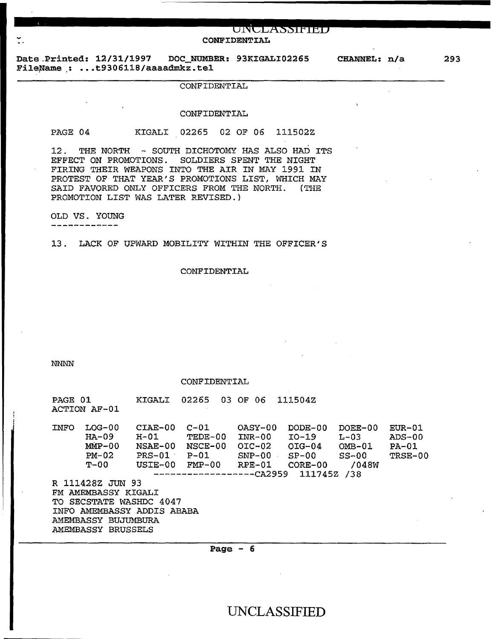**CONFIDENTIAL** 

UNWLASSIFIED

Date.Printed: 12/31/1997 DOC\_NUMBER: 93KIGALI02265 FileName : ...t9306118/aaaadmkz.tel

#### CONFIDENTIAL

#### CONFIDENTIAL

PAGE 04 KIGALI 02265 02 OF 06 111502Z

12. THE NORTH - SOUTH DICHOTOMY HAS ALSO HAD ITS EFFECT ON PROMOTIONS. SOLDIERS SPENT THE NIGHT FIRING THEIR WEAPONS INTO THE AIR IN MAY 1991 IN PROTEST OF THAT YEAR'S PROMOTIONS LIST, WHICH MAY SAID FAVORED ONLY OFFICERS FROM THE NORTH. (THE PROMOTION LIST WAS LATER REVISED.}

OLD VS. YOUNG -----------

13. LACK OF UPWARD MOBILITY WITHIN THE OFFICER'S

#### CONFIDENTIAL

NNNN

#### CONFIDENTIAL

| PAGE 01                                        | ACTION AF-01                                           | KIGALI                                            | 02265                                                                           | 03 OF<br>-06                                            | 111504Z                                                            |                                                              |                                            |  |  |  |
|------------------------------------------------|--------------------------------------------------------|---------------------------------------------------|---------------------------------------------------------------------------------|---------------------------------------------------------|--------------------------------------------------------------------|--------------------------------------------------------------|--------------------------------------------|--|--|--|
| <b>INFO</b>                                    | $LOG-00$<br>$HA-09$<br>$MMP-00$<br>$PM-02$<br>$T - 00$ | CIAE-00<br>H-01<br>NSAE-00<br>$PRS-01$<br>USIE-00 | $C - 01$<br>TEDE-00<br>NSCE-00<br>$P-01$<br>$FMP-00$<br>-----------------CA2959 | $OASY-00$<br>INR-00<br>$OIC-02$<br>$SNP-00$<br>$RPE-01$ | $DODE-0.0$<br>IO-19<br>$OIG-04$<br>$SP-00$<br>$CORE-00$<br>111745Z | $DOEE-00$<br>$L - 03$<br>$OMB-01$<br>$SS-00$<br>/048W<br>/38 | $EUR-01$<br>$ADS-00$<br>$PA-01$<br>TRSE-00 |  |  |  |
|                                                | R 111428Z JUN 93                                       |                                                   |                                                                                 |                                                         |                                                                    |                                                              |                                            |  |  |  |
| FM AMEMBASSY KIGALI<br>TO SECSTATE WASHDC 4047 |                                                        |                                                   |                                                                                 |                                                         |                                                                    |                                                              |                                            |  |  |  |
| INFO AMEMBASSY ADDIS ABABA                     |                                                        |                                                   |                                                                                 |                                                         |                                                                    |                                                              |                                            |  |  |  |
|                                                | AMEMBASSY BUJIMBURA                                    |                                                   |                                                                                 |                                                         |                                                                    |                                                              |                                            |  |  |  |
|                                                | AMEMBASSY BRUSSELS                                     |                                                   |                                                                                 |                                                         |                                                                    |                                                              |                                            |  |  |  |

Page  $-6$ 

UNCLASSIFIED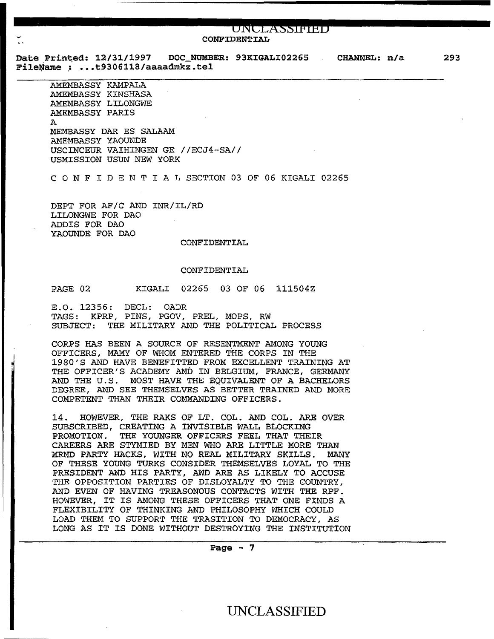### **GNCLX§§fPihb CONFIDENTIAL**

Date Printed: 12/31/1997 DOC NUMBER: 93KIGALI02265 CHANNEL: n/a Date Printed: 12/31/1997 DOC\_NUMBR<br>FileName : ...t9306118/aaaadmkz.tel

AMEMBASSY KAMPALA AMEMBASSY KINSHASA AMEMBASSY LILONGWE AMEMBASSY PARIS A MEMBASSY DAR ES SALAAM AMEMBASSY YAOUNDE USCINCEUR VAIHINGEN GE //ECJ4-SA// USMISSION USUN NEW YORK

C 0 N F I D E N T I A L SECTION 03 OF 06 KIGALI 02265

DEPT FOR AF/C AND INR/IL/RD LILONGWE FOR DAO ADDIS FOR DAO YAOUNDE FOR DAO

#### CONFIDENTIAL

#### CONFIDENTIAL

PAGE 02 KIGALI 02265 03 OF 06 111504Z

E.O. 12356: DECL: OADR TAGS: KPRP, PINS, PGOV, PREL, MOPS, RW THE MILITARY AND THE POLITICAL PROCESS

CORPS HAS BEEN A SOURCE OF RESENTMENT AMONG YOUNG OFFICERS, MAMY OF WHOM ENTERED THE CORPS IN THE 1980'S AND HAVE BENEFITTED FROM EXCELLENT TRAINING AT THE OFFICER'S ACADEMY AND IN BELGIUM, FRANCE, GERMANY AND THE U.S. MOST HAVE THE EQUIVALENT OF A BACHELORS DEGREE, AND SEE THEMSELVES AS BETTER TRAINED AND MORE COMPETENT THAN THEIR COMMANDING OFFICERS.

14. HOWEVER, THE RAKS OF LT. COL. AND COL. ARE OVER SUBSCRIBED, CREATING A INVISIBLE WALL BLOCKING PROMOTION. THE YOUNGER OFFICERS FEEL THAT THEIR CAREERS ARE STYMIED BY MEN WHO ARE LITTLE MORE THAN MRND PARTY HACKS, WITH NO REAL MILITARY SKILLS. MANY OF THESE YOUNG TURKS CONSIDER THEMSELVES LOYAL TO THE PRESIDENT AND HIS PARTY, AWD ARE AS LIKELY TO ACCUSE THE OPPOSITION PARTIES OF DISLOYALTY TO THE COUNTRY, AND EVEN OF HAVING TREASONOUS CONTACTS WITH THE RPF. HOWEVER, IT IS AMONG THESE OFFICERS THAT ONE FINDS A FLEXIBILITY OF THINKING AND PHILOSOPHY WHICH COULD LOAD THEM TO SUPPORT THE TRASITION TO DEMOCRACY, AS LONG AS IT IS DONE WITHOUT DESTROYING THE INSTITUTION

Page  $-7$ 

UNCLASSIFIED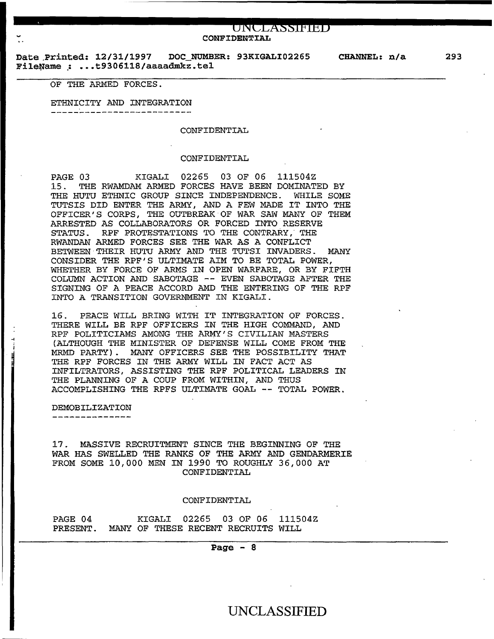#### **ONCLX§§fPibb CONFIDENTIAL**

Date Printed: 12/31/1997 DOC\_NUMBER: 93KIGALI02265 CHANNEL: n/a Date Printed: 12/31/1997 DOC\_NUMB.<br>FileName : ...t9306118/aaaadmkz.tel

#### OF THE ARMED FORCES.

ETHNICITY AND INTEGRATION

-----------------------------

#### CONFIDENTIAL

#### CONFIDENTIAL

PAGE 03 KIGALI 02265 03 OF 06 111504Z 15. THE RWAMDAM ARMED FORCES HAVE BEEN DOMINATED BY THE HUTU ETHNIC GROUP SINCE INDEPENDENCE. WHILE SOME TUTSIS DID ENTER THE ARMY, AND A FEW MADE IT INTO THE OFFICER'S CORPS, THE OUTBREAK OF WAR SAW MANY OF THEM ARRESTED AS COLLABORATORS OR FORCED INTO RESERVE STATUS. RPF PROTESTATIONS TO THE CONTRARY. THE RWANDAN ARMED FORCES SEE THE WAR AS A CONFLICT BETWEEN THEIR HUTU ARMY AND THE TUTSI INVADERS. MANY CONSIDER THE *RPF'S* ULTIMATE AIM TO BE TOTAL POWER, WHETHER BY FORCE OF ARMS IN OPEN WARFARE, OR BY FIFTH COLUMN ACTION AND SABOTAGE -- EVEN SABOTAGE AFTER THE SIGNING OF A PEACE ACCORD AMD THE ENTERING OF THE RPF INTO A TRANSITION GOVERNMENT IN KIGALI.

16. PEACE WILL BRING WITH IT INTEGRATION OF FORCES. THERE WILL BE RPF OFFICERS IN THE HIGH COMMAND, AND RPF POLITICIAMS AMONG THE ARMY'S CIVILIAN MASTERS (ALTHOUGH THE MINISTER OF DEFENSE WILL COME FROM THE MRMD PARTY). MANY OFFICERS SEE THE POSSIBILITY THAT THE RPF FORCES IN THE ARMY WILL IN FACT ACT AS INFILTRATORS, ASSISTING THE RPF POLITICAL LEADERS IN THE PLANNING OF A COUP FROM WITHIN, AND THUS ACCOMPLISHING THE RPFS ULTIMATE GOAL -- TOTAL POWER.

#### DEMOBILIZATION

... j

17. MASSIVE RECRUITMENT SINCE THE BEGINNING OF THE WAR HAS SWELLED THE RANKS OF THE ARMY AND GENDARMERIE FROM SOME 10,000 MEN IN 1990 TO ROUGHLY 36,000 AT CONFIDENTIAL

#### CONFIDENTIAL

#### PAGE 04 KIGALI 02265 03 OF 06 111504Z PRESENT. MANY OF THESE RECENT RECRUITS WILL

#### Page  $-8$

### UNCLASSIFIED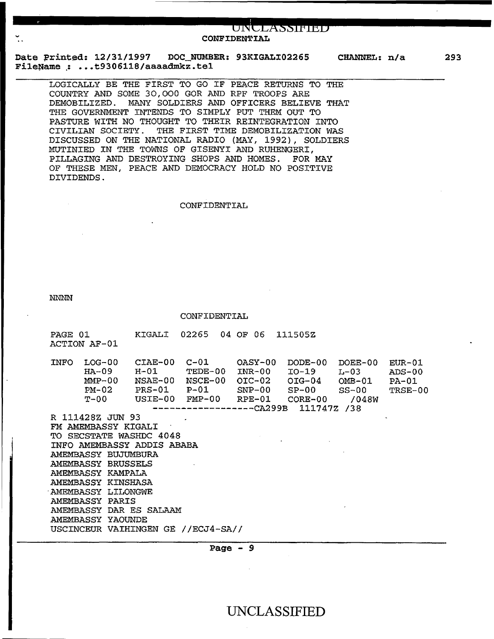#### UNULASSIFIED **CONFIDENTIAL**

**Date Printed: 12/31/1997 DOC\_NUMBER: 93KIGALI02265 CHANNEL: n/a FileName** .: ••• **t9306118/aaaadmkz. tel** 

**293** 

LOGICALLY BE THE FIRST TO GO IF PEACE RETURNS TO THE COUNTRY AND SOME 30,000 GOR AND RPF TROOPS ARE DEMOBILIZED. MANY SOLDIERS AND OFFICERS BELIEVE THAT THE GOVERNMENT INTENDS TO SIMPLY PUT THEM OUT TO PASTURE WITH NO THOUGHT TO THEIR REINTEGRATION INTO CIVILIAN SOCIETY. THE FIRST TIME DEMOBILIZATION WAS DISCUSSED ON THE NATIONAL RADIO (MAY, 1992), SOLDIERS MOTINIED IN THE TOWNS OF GISENYI AND RUHENGERI, PILLAGING AND DESTROYING SHOPS AND HOMES. FOR MAY OF THESE MEN, PEACE AND DEMOCRACY HOLD NO POSITIVE DIVIDENDS.

#### CONFIDENTIAL

NNNN

CONFIDENTIAL PAGE 01 KIGALI 02265 04 OF 06 111505Z ACTION AF-01 INFO LOG-00 CIAE-00 C-01 OASY-00 DODE-00 DOEE-00 EUR-01 10G-00 CIAE-00 C-01 0ASY-00<br>
HA-09 H-01 TEDE-00 INR-00<br>
MMP-00 NSAE-00 NSCE-00 OIC-02 MMP-00 NSAE-00 NSCE-00 OIC-02 PM-02 PRS-01 P-01 SNP-00  $USTE-00$   $FMP-00$ ------------------CA299B 111747Z /38 R 111428Z JUN 93 FM AMEMBASSY KIGALI TO SECSTATE WASHDC 4048 INFO AMEMBASSY ADDIS ABABA AMEMBASSY BUJUMBURA AMEMBASSY BRUSSELS AMEMBASSY KAMPALA AMEMBASSY KINSHASA ·AMEMBASSY LILONGWE AMEMBASSY PARIS AMEMBASSY DAR ES SALAAM AMEMBASSY YAOUNDE USCINCEUR VAIHINGEN GE //ECJ4-SA// IO-19 L-03<br>OIG-04 OMB-01 OIG-04 OMB-01<br>SP-00 SS-00 SP-00 SS-00<br>CORE-00 /048W  $CORE-00$ ADS-00 PA-01 TRSE-00

**Page - 9**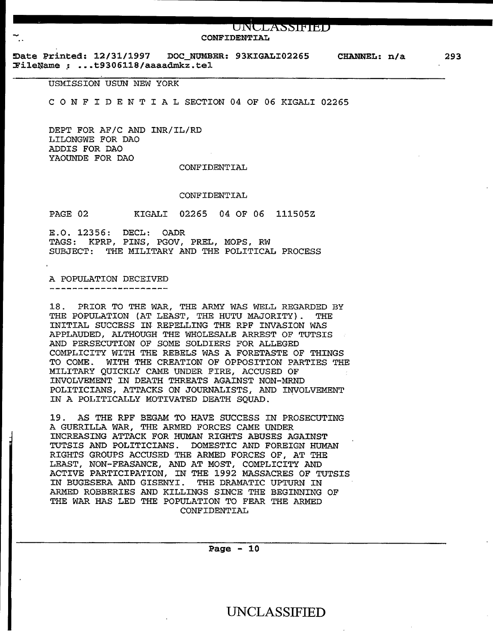#### **ONCLX§§fPibb CONFIDENTIAL**

~ate Printed: ~2/31/1997 DOC\_NOMBER: 93KIGALI02265 FileName : ...t9306118/aaaadmkz.tel CHANNEL: n/a 293

USMISSION USUN NEW YORK

C 0 N F I D E N T I A L SECTION 04 OF 06 KIGALI 02265

DEPT FOR AF/C AND INR/IL/RD LILONGWE FOR DAO ADDIS FOR DAO YAOUNDE FOR DAO

#### CONFIDENTIAL

#### CONFIDENTIAL

PAGE 02 KIGALI 02265 04 OF 06 111505Z

E.O. 12356: DECL: OADR TAGS: KPRP, PINS, PGOV, PREL, MOPS, RW SUBJECT: THE MILITARY AND THE POLITICAL PROCESS

A POPULATION DECEIVED -----------------------

18 . PRIOR TO THE WAR, THE ARMY WAS WELL REGARDED BY THE POPULATION (AT LEAST, THE HUTU MAJORITY). THE INITIAL SUCCESS IN REPELLING THE RPF INVASION WAS APPLAUDED, ALTHOUGH THE WHOLESALE ARREST OF TUTSIS AND PERSECUTION OF SOME SOLDIERS FOR ALLEGED COMPLICITY WITH THE REBELS WAS A FORETASTE OF THINGS TO COME. WITH THE CREATION OF OPPOSITION PARTIES THE MILITARY QUICKLY CAME UNDER FIRE, ACCUSED OF INVOLVEMENT IN DEATH THREATS AGAINST NON-MRND POLITICIANS, ATTACKS ON JOURNALISTS, AND INVOLVEMENT IN A POLITICALLY MOTIVATED DEATH SQUAD.

19. AS THE RPF BEGAM TO HAVE SUCCESS IN PROSECUTING A GUERILLA WAR, THE ARMED FORCES CAME UNDER INCREASING ATTACK FOR HUMAN RIGHTS ABUSES AGAINST TUTSIS AND POLITICIANS. DOMESTIC AND FOREIGN HUMAN RIGHTS GROUPS ACCUSED THE ARMED FORCES OF, AT THE LEAST, NON-FEASANCE, AND AT MOST, COMPLICITY AND ACTIVE PARTICIPATION, IN THE 1992 MASSACRES OF TUTSIS IN BUGESERA AND GISENYI. THE DRAMATIC UPTURN IN ARMED ROBBERIES AND KILLINGS SINCE THE BEGINNING OF THE WAR HAS LED THE POPULATION TO FEAR THE ARMED CONFIDENTIAL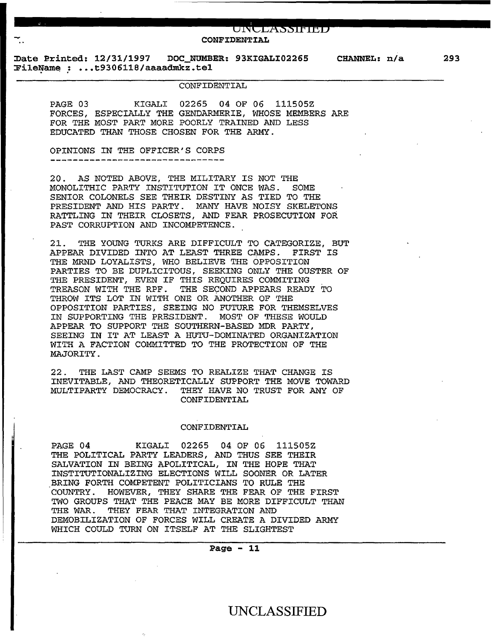CONFIDENTIAL

UNULASSIFIED

~ate Printed: 12/31/1997 DOC NUMBER: 93KIGALI02265 CHANNEL: n/a ~ileNam~ : ••• t9306ll8/aaaadmkz.tel

#### CONFIDENTIAL

PAGE 03 KIGALI 02265 04 OF 06 111505Z FORCES, ESPECIALLY THE GENDARMERIE, WHOSE MEMBERS ARE FOR THE MOST PART MORE POORLY TRAINED AND LESS EDUCATED THAN THOSE CHOSEN FOR THE ARMY.

OPINIONS IN THE OFFICER'S CORPS 

20. AS NOTED ABOVE, THE MILITARY IS NOT THE MONOLITHIC PARTY INSTITUTION IT ONCE WAS. SOME SENIOR COLONELS SEE THEIR DESTINY AS TIED TO THE PRESIDENT AND HIS PARTY. MANY HAVE NOISY SKELETONS RATTLING IN THEIR CLOSETS, AND FEAR PROSECUTION FOR PAST CORRUPTION AND INCOMPETENCE.

21. THE YOUNG TURKS ARE DIFFICULT TO CATEGORIZE, BUT APPEAR DIVIDED INTO AT LEAST THREE CAMPS. FIRST IS THE MRND LOYALISTS, WHO BELIEVE THE OPPOSITION PARTIES TO BE DUPLICITOUS, SEEKING ONLY THE OUSTER OF THE PRESIDENT, EVEN IF THIS REQUIRES COMMITING TREASON WITH THE RPF. THE SECOND APPEARS READY TO THROW ITS LOT IN WITH ONE OR ANOTHER OF THE OPPOSITION PARTIES, SEEING NO FUTURE FOR THEMSELVES IN SUPPORTING THE PRESIDENT. MOST OF THESE WOULD APPEAR TO SUPPORT THE SOUTHERN-BASED MDR PARTY, SEEING IN IT AT LEAST A HUTU-DOMINATED ORGANIZATION WITH A FACTION COMMITTED TO THE PROTECTION OF THE MAJORITY.

22. THE LAST CAMP SEEMS TO REALIZE THAT CHANGE IS INEVITABLE, AND THEORETICALLY SUPPORT THE MOVE TOWARD MULTIPARTY DEMOCRACY. THEY HAVE NO TRUST FOR ANY OF CONFIDENTIAL

#### CONFIDENTIAL

PAGE 04 KIGALI 02265 04 OF 06 111505Z THE POLITICAL PARTY LEADERS, AND THUS SEE THEIR SALVATION IN BEING APOLITICAL, IN THE HOPE THAT INSTITUTIONALIZING ELECTIONS WILL SOONER OR LATER BRING FORTH COMPETENT POLITICIANS TO RULE THE COUNTRY. HOWEVER, THEY SHARE THE FEAR OF THE FIRST TWO GROUPS THAT THE PEACE MAY BE MORE DIFFICULT THAN THE WAR. THEY FEAR THAT INTEGRATION AND DEMOBILIZATION OF FORCES WILL CREATE A DIVIDED ARMY WHICH COULD TURN ON ITSELF AT THE SLIGHTEST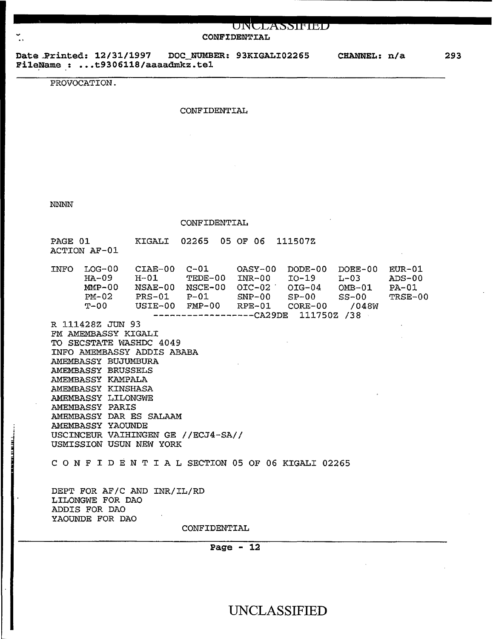# $UNCLASSIFIED$ **CONFIDEN'l'IAL**

**Date"Printed: 12/31/1997 DOC NUMBER: 93KIGALI02265 FileName : ••• t9306118/aaaadmkz.tel**  . . **CHANNEL: n/a** 

PROVOCATION.

#### CONFIDENTIAL

NNNN

CONFIDENTIAL

| PAGE 01<br>ACTION AF-01                                               | KIGALI 02265 05 OF 06 111507Z                                                                                                                                                                                                        |  |  |
|-----------------------------------------------------------------------|--------------------------------------------------------------------------------------------------------------------------------------------------------------------------------------------------------------------------------------|--|--|
| INFO LOG-00 CIAE-00 C-01 0ASY-00 DODE-00 DOEE-00 EUR-01               | HA-09 H-01 TEDE-00 INR-00 IO-19 L-03 ADS-00<br>MMP-00 NSAE-00 NSCE-00 OIC-02 OIG-04 OMB-01 PA-01<br>PM-02 PRS-01 P-01 SNP-00 SP-00 SS-00 TRSE-00<br>T-00 USIE-00 FMP-00 RPE-01 CORE-00 /048W<br>------------------CA29DE 111750Z /38 |  |  |
| R 111428Z JUN 93                                                      |                                                                                                                                                                                                                                      |  |  |
| FM AMEMBASSY KIGALI<br>TM AMEMBASSI KIGALL<br>TO SECSTATE WASHDC 4049 |                                                                                                                                                                                                                                      |  |  |
| INFO AMEMBASSY ADDIS ABABA                                            |                                                                                                                                                                                                                                      |  |  |
| AMEMBASSY BUJUMBURA                                                   |                                                                                                                                                                                                                                      |  |  |
| AMEMBASSY BRUSSELS                                                    |                                                                                                                                                                                                                                      |  |  |
| AMEMBASSY KAMPALA<br>AMEMBASSY KINSHASA                               |                                                                                                                                                                                                                                      |  |  |
| AMEMBASSY LILONGWE                                                    |                                                                                                                                                                                                                                      |  |  |
| AMEMBASSY PARIS                                                       |                                                                                                                                                                                                                                      |  |  |
| AMEMBASSY DAR ES SALAAM<br>AMEMBASSY YAOUNDE                          |                                                                                                                                                                                                                                      |  |  |
| USCINCEUR VAIHINGEN GE //ECJ4-SA//                                    |                                                                                                                                                                                                                                      |  |  |
| USMISSION USUN NEW YORK                                               |                                                                                                                                                                                                                                      |  |  |
| CONFIDENTIAL SECTION 05 OF 06 KIGALI 02265                            |                                                                                                                                                                                                                                      |  |  |
| DEPT FOR AF/C AND INR/IL/RD<br>LILONGWE FOR DAO<br>ADDIS FOR DAO      |                                                                                                                                                                                                                                      |  |  |
| YAOUNDE FOR DAO                                                       |                                                                                                                                                                                                                                      |  |  |
|                                                                       | CONFIDENTIAL                                                                                                                                                                                                                         |  |  |
|                                                                       |                                                                                                                                                                                                                                      |  |  |

**Page - 12** 

**293**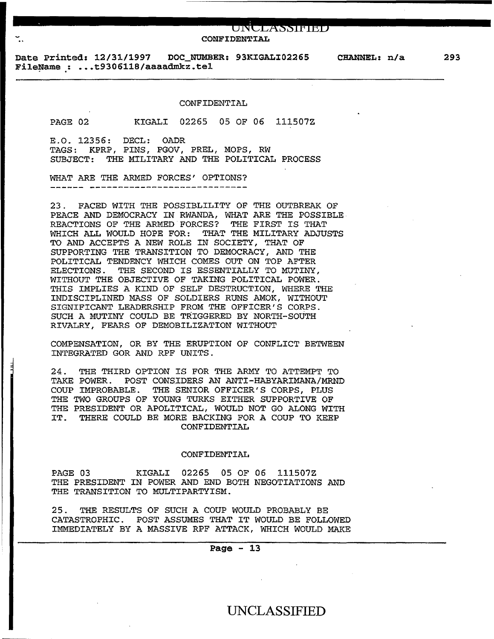# UNCLASSIFIED<br>CONFIDENTIAL

Date Printed: 12/31/1997 DOC\_NUMBER: 93KIGALI02265 CHANNEL: n/a FileName : ...t9306118/aaaadmkz.tel

#### CONFIDENTIAL

PAGE *02* KIGALI 02265 05 OF 06 111507Z

E.O. 12356: DECL: OADR TAGS: KPRP, PINS, PGOV, PREL, MOPS, RW SUBJECT: THE MILITARY AND THE POLITICAL PROCESS

WHAT ARE THE ARMED FORCES' OPTIONS?

23. FACED WITH THE POSSIBLILITY OF THE OUTBREAK OF PEACE AND DEMOCRACY IN RWANDA, WHAT ARE THE POSSIBLE REACTIONS OF THE ARMED FORCES? THE FIRST IS THAT WHICH ALL WOULD HOPE FOR: THAT THE MILITARY ADJUSTS TO AND ACCEPTS A NEW ROLE IN SOCIETY, THAT OF SUPPORTING THE TRANSITION TO DEMOCRACY, AND THE POLITICAL TENDENCY WHICH COMES OUT ON TOP AFTER ELECTIONS. THE SECOND IS ESSENTIALLY TO MUTINY, WITHOUT THE OBJECTIVE OF TAKING POLITICAL POWER. THIS IMPLIES A KIND OF SELF DESTRUCTION, WHERE THE INDISCIPLINED MASS OF SOLDIERS RUNS AMOK, WITHOUT SIGNIFICANT LEADERSHIP FROM THE OFFICER'S CORPS. SUCH A MUTINY COULD BE TRIGGERED BY NORTH-SOUTH RIVALRY, FEARS OF DEMOBILIZATION WITHOUT

COMPENSATION, OR BY THE ERUPTION OF CONFLICT BETWEEN INTEGRATED GOR AND RPF UNITS.

24. THE THIRD OPTION IS FOR THE ARMY TO ATTEMPT TO TAKE POWER. POST CONSIDERS AN ANTI-HABYARIMANA/MRND COUP IMPROBABLE. THE SENIOR OFFICER'S CORPS, PLUS THE TWO GROUPS OF YOUNG TURKS EITHER SUPPORTIVE OF THE PRESIDENT OR APOLITICAL, WOULD NOT GO ALONG WITH IT. THERE COULD BE MORE BACKING FOR A COUP TO KEEP CONFIDENTIAL

#### CONFIDENTIAL

PAGE 03 KIGALI 02265 05 OF 06 111507Z THE PRESIDENT IN POWER AND END BOTH NEGOTIATIONS AND THE TRANSITION TO MULTIPARTYISM.

25. THE RESULTS OF SUCH A COUP WOULD PROBABLY BE CATASTROPHIC. POST ASSUMES THAT IT WOULD BE FOLLOWED IMMEDIATELY BY A MASSIVE RPF ATTACK, WHICH WOULD MAKE

#### Page  $-13$

### UNCLASSIFIED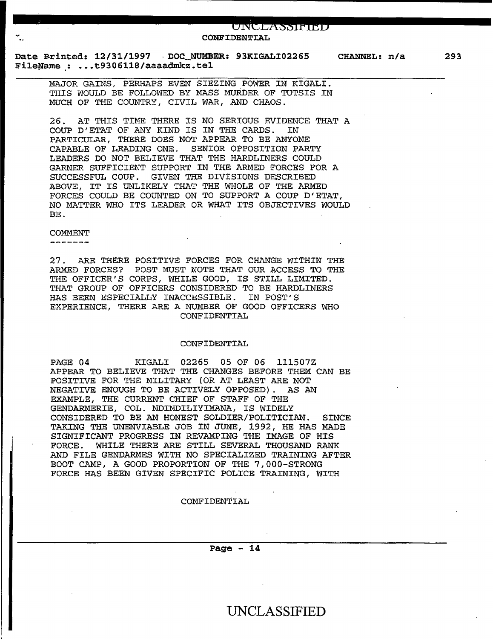### **11111111111111111111111 ........** ~6~N~t•t~X~§~§~l~P~I•h~B **...................... .** .. **CONFIDENTIAL**

**Date** ~rinted: **12/31/1997 · DOC\_NUMBER: 93KIGALI02265**  File~ame **.: .•• t9306ll8/aaaadmkz.tel** 

**CHANNEL: n/a** 

**293** 

MAJOR GAINS, PERHAPS EVEN SIEZING POWER IN KIGALI. THIS WOULD BE FOLLOWED BY MASS MURDER OF TUTSIS IN MUCH OF THE COUNTRY, CIVIL WAR, AND CHAOS.

26. AT THIS TIME THERE IS NO SERIOUS EVIDENCE THAT A COUP D'ETAT OF ANY KIND IS IN THE CARDS. IN COUP D'ETAT OF ANY KIND IS IN THE CARDS. PARTICULAR, THERE DOES NOT APPEAR TO BE ANYONE CAPABLE OF LEADING ONE. SENIOR OPPOSITION PARTY LEADERS DO NOT BELIEVE THAT THE HARDLINERS COULD GARNER SUFFICIENT SUPPORT IN THE ARMED FORCES FOR A SUCCESSFUL COUP. GIVEN THE DIVISIONS DESCRIBED ABOVE, IT IS UNLIKELY THAT THE WHOLE OF THE ARMED FORCES COULD BE COUNTED ON TO SUPPORT A COUP D'ETAT, NO MATTER WHO ITS LEADER OR WHAT ITS OBJECTIVES WOULD BE.

#### COMMENT

~

 $\frac{1}{2} \left( \frac{1}{2} \right) \left( \frac{1}{2} \right) \left( \frac{1}{2} \right) \left( \frac{1}{2} \right) \left( \frac{1}{2} \right) \left( \frac{1}{2} \right) \left( \frac{1}{2} \right) \left( \frac{1}{2} \right) \left( \frac{1}{2} \right) \left( \frac{1}{2} \right) \left( \frac{1}{2} \right) \left( \frac{1}{2} \right) \left( \frac{1}{2} \right) \left( \frac{1}{2} \right) \left( \frac{1}{2} \right) \left( \frac{1}{2} \right) \left( \frac$ 

27. ARE THERE POSITIVE FORCES FOR CHANGE WITHIN THE ARMED FORCES? POST MUST NOTE THAT OUR ACCESS TO THE THE OFFICER'S CORPS, WHILE GOOD, IS STILL LIMITED. THAT GROUP OF OFFICERS CONSIDERED TO BE HARDLINERS HAS BEEN ESPECIALLY INACCESSIBLE. IN POST'S EXPERIENCE, THERE ARE A NUMBER OF GOOD OFFICERS WHO CONFIDENTIAL

#### CONFIDENTIAL

PAGE 04 KIGALI 02265 05 OF 06 111507Z APPEAR TO BELIEVE THAT THE CHANGES BEFORE THEM CAN BE POSITIVE FOR THE MILITARY (OR AT LEAST ARE NOT NEGATIVE ENOUGH TO BE ACTIVELY OPPOSED) . AS AN EXAMPLE, THE CURRENT CHIEF OF STAFF OF THE GENDARMERIE, COL. NDINDILIYIMANA, IS WIDELY CONSIDERED TO BE AN HONEST SOLDIER/POLITICIAN. SINCE TAKING THE UNENVIABLE JOB IN JUNE, 1992, HE HAS MADE SIGNIFICANT PROGRESS IN REVAMPING THE IMAGE OF HIS<br>FORCE. WHILE THERE ARE STILL SEVERAL THOUSAND RAN WHILE THERE ARE STILL SEVERAL THOUSAND RANK AND FILE GENDARMES WITH NO SPECIALIZED TRAINING AFTER BOOT CAMP, A GOOD PROPORTION OF THE 7,000-STRONG FORCE HAS BEEN GIVEN SPECIFIC POLICE TRAINING, WITH

#### CONFIDENTIAL

**Page - 14**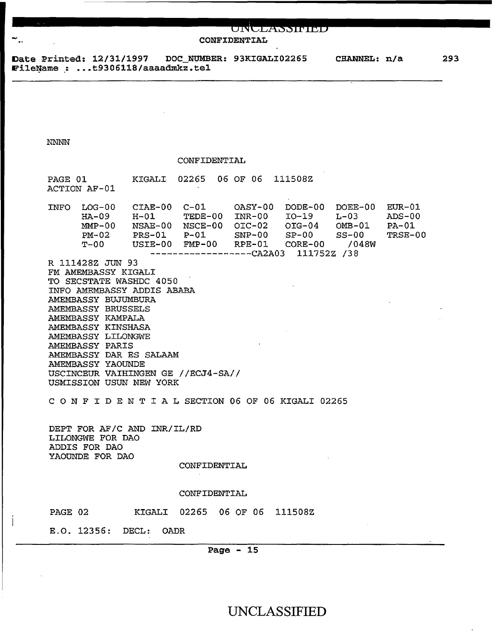### UNULASSIFIED

CONFIDENTIAL

Date Printed: 12/31/1997 DOC\_NUMBER: 93KIGALI02265 FileName : ...t9306118/aaaadmkz.tel

293

NNNN

#### CONFIDENTIAL

| PAGE 01     | ACTION AF-01                                       | KIGALI                                                | 02265                                                                          | 06<br>06 OF                                               | 111508Z                                                                 |                                                       |                                            |
|-------------|----------------------------------------------------|-------------------------------------------------------|--------------------------------------------------------------------------------|-----------------------------------------------------------|-------------------------------------------------------------------------|-------------------------------------------------------|--------------------------------------------|
| <b>INFO</b> | $LOG-00$<br>$HA-09$<br>$MMP-00$<br>$PM-02$<br>т-00 | CIAE-00<br>$H-01$<br>NSAE-00<br>$PRS-01$<br>$USTE-00$ | $C-01$<br>TEDE-00<br>NSCE-00<br>$P-01$<br>$FMP-00$<br>------------------CA2A03 | $OASY-00$<br>$INR-00$<br>$OTC-02$<br>$SNP-00$<br>$RPE-01$ | $DODE-00$<br>$IO-19$<br>$OIG-04$<br>$SP-00$<br>$CORE-00$<br>111752Z /38 | $DOEE-00$<br>$L - 03$<br>$OMB-01$<br>$SS-00$<br>/048W | $EUR-01$<br>$ADS-00$<br>$PA-01$<br>TRSE-00 |
|             |                                                    |                                                       |                                                                                |                                                           |                                                                         |                                                       |                                            |

R 111428Z JUN 93 FM AMEMBASSY KIGALI TO SECSTATE WASHDC 4050 INFO AMEMBASSY ADDIS ABABA AMEMBASSY BUJUMBURA AMEMBASSY BRUSSELS AMEMBASSY KAMPALA AMEMBASSY KINSHASA AMEMBASSY LILONGWE AMEMBASSY PARIS AMEMBASSY DAR ES SALAAM AMEMBASSY YAOUNDE USCINCEUR VAIHINGEN GE //ECJ4-SA// USMISSION USUN NEW YORK

C 0 N F I D E N T I A L SECTION 06 OF 06 KIGALI 02265

DEPT FOR AF/C AND INR/IL/RD LILONGWE FOR DAO ADDIS FOR DAO YAOUNDE FOR DAO

CONFIDENTIAL

#### CONFIDENTIAL

PAGE 02 KIGALI 02265 06 OF 06 111508Z

E.O. 12356: DECL: OADR

Page - 15